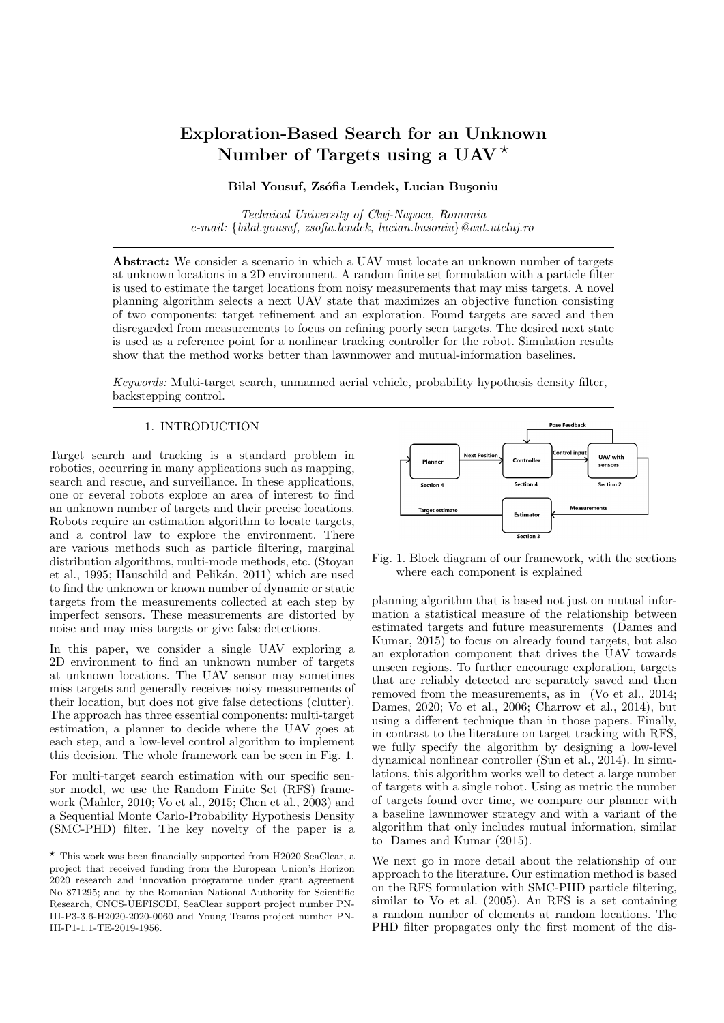# Exploration-Based Search for an Unknown Number of Targets using a UAV<sup> $\star$ </sup>

## Bilal Yousuf, Zsófia Lendek, Lucian Buşoniu

Technical University of Cluj-Napoca, Romania e-mail: {bilal.yousuf, zsofia.lendek, lucian.busoniu}@aut.utcluj.ro

Abstract: We consider a scenario in which a UAV must locate an unknown number of targets at unknown locations in a 2D environment. A random finite set formulation with a particle filter is used to estimate the target locations from noisy measurements that may miss targets. A novel planning algorithm selects a next UAV state that maximizes an objective function consisting of two components: target refinement and an exploration. Found targets are saved and then disregarded from measurements to focus on refining poorly seen targets. The desired next state is used as a reference point for a nonlinear tracking controller for the robot. Simulation results show that the method works better than lawnmower and mutual-information baselines.

Keywords: Multi-target search, unmanned aerial vehicle, probability hypothesis density filter, backstepping control.

## 1. INTRODUCTION

Target search and tracking is a standard problem in robotics, occurring in many applications such as mapping, search and rescue, and surveillance. In these applications, one or several robots explore an area of interest to find an unknown number of targets and their precise locations. Robots require an estimation algorithm to locate targets, and a control law to explore the environment. There are various methods such as particle filtering, marginal distribution algorithms, multi-mode methods, etc. (Stoyan et al., 1995; Hauschild and Pelikán, 2011) which are used to find the unknown or known number of dynamic or static targets from the measurements collected at each step by imperfect sensors. These measurements are distorted by noise and may miss targets or give false detections.

In this paper, we consider a single UAV exploring a 2D environment to find an unknown number of targets at unknown locations. The UAV sensor may sometimes miss targets and generally receives noisy measurements of their location, but does not give false detections (clutter). The approach has three essential components: multi-target estimation, a planner to decide where the UAV goes at each step, and a low-level control algorithm to implement this decision. The whole framework can be seen in Fig. 1.

For multi-target search estimation with our specific sensor model, we use the Random Finite Set (RFS) framework (Mahler, 2010; Vo et al., 2015; Chen et al., 2003) and a Sequential Monte Carlo-Probability Hypothesis Density (SMC-PHD) filter. The key novelty of the paper is a



Fig. 1. Block diagram of our framework, with the sections where each component is explained

planning algorithm that is based not just on mutual information a statistical measure of the relationship between estimated targets and future measurements (Dames and Kumar, 2015) to focus on already found targets, but also an exploration component that drives the UAV towards unseen regions. To further encourage exploration, targets that are reliably detected are separately saved and then removed from the measurements, as in (Vo et al., 2014; Dames, 2020; Vo et al., 2006; Charrow et al., 2014), but using a different technique than in those papers. Finally, in contrast to the literature on target tracking with RFS, we fully specify the algorithm by designing a low-level dynamical nonlinear controller (Sun et al., 2014). In simulations, this algorithm works well to detect a large number of targets with a single robot. Using as metric the number of targets found over time, we compare our planner with a baseline lawnmower strategy and with a variant of the algorithm that only includes mutual information, similar to Dames and Kumar (2015).

We next go in more detail about the relationship of our approach to the literature. Our estimation method is based on the RFS formulation with SMC-PHD particle filtering, similar to Vo et al. (2005). An RFS is a set containing a random number of elements at random locations. The PHD filter propagates only the first moment of the dis-

 $\star$  This work was been financially supported from H2020 SeaClear, a project that received funding from the European Union's Horizon 2020 research and innovation programme under grant agreement No 871295; and by the Romanian National Authority for Scientific Research, CNCS-UEFISCDI, SeaClear support project number PN-III-P3-3.6-H2020-2020-0060 and Young Teams project number PN-III-P1-1.1-TE-2019-1956.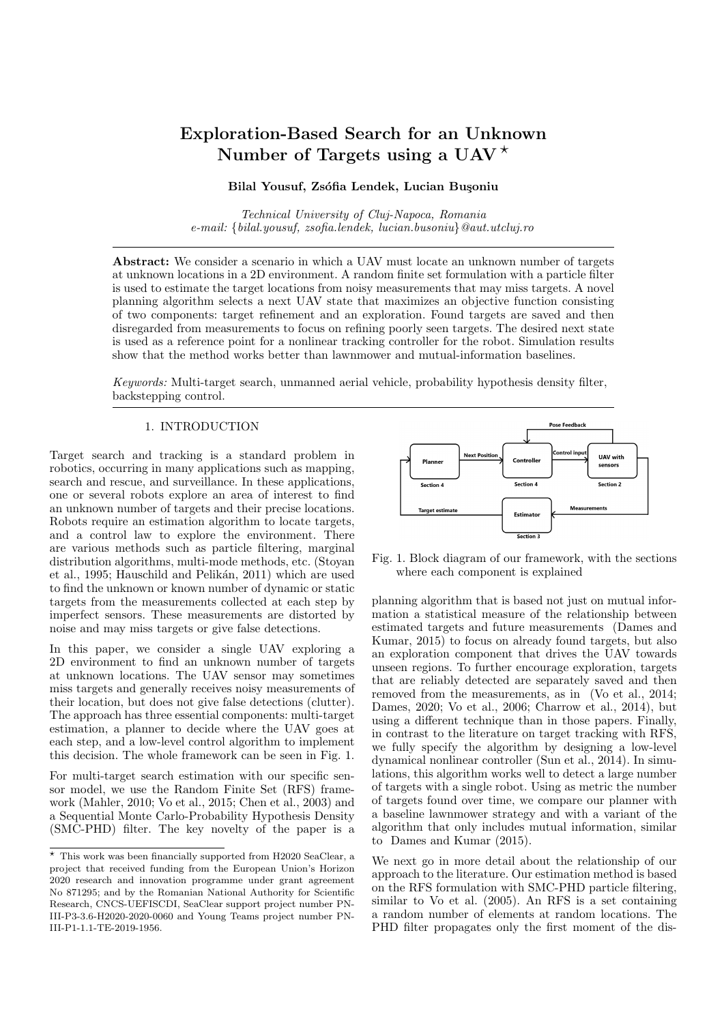tribution, which intuitively represents an expected count of targets in each area, rather than the full multi-target posterior (Dames, 2020). In robotics, many approaches were developed to solve target search and tracking problems with RFS representations. E.g. Dames et al. (2017) define the planner based on mutual information between the target and a binary sensor. Xu et al. (2013) present the idea of mixed nonlinear programming for assigning robots to targets. A Voronoi-based method known as Lloyd's algorithm is used to localize the targets by Dames (2020). In the present paper, we develop a planner algorithm that similar to the method of Dames and Kumar (2015) but with the key addition of the exploration function. For our specific problem, the trajectory tracking controller is designed using a backstepping-based dynamical nonlinear control algorithm for the UAV (Sun et al., 2014) as it is simple and computationally efficient.

The remaining material is structured as follows, see again also Fig. 1. Section 2 defines the problem, followed by the SMC-PHD filtering framework in Section 3. In Section 4, we develop the planner algorithm based on mutual information and exploration along with describing the controllere. Section 5 presents the simulation results. Finally, Section 6 concludes the paper.

## 2. PROBLEM FORMULATION



Fig. 2. 2D space with 6 targets and a UAV with a circular field of view. The dark orange, yellow, and blue colors show the probability of observation (higher to lower) at the current position of the UAV.

The problem we consider is a single multi-rotor UAV exploring a 2D target space (environment)  $E^s$  in search of static targets, as shown in Fig. 2. The UAV is assumed to localize itself within the environment with sufficient accuracy. The robot seeks to locate the set  $\mathcal{X}_k$  of  $\mathcal{N}_k$ stationary targets at positions  $x_{ik} \in E^s$ , where k denotes the discrete time step. Both the cardinality  $(|X_k| = N_k)$ and the locations of the targets are unknown to UAV. In general, the number of targets varies with  $k$ , but here we will take it constant; nevertheless, the estimated number of targets still varies due to the motion of the UAV causing targets to appear in the sensor field of view (FOV). The pose of the UAV is denoted by  $q_{k+1} \in \mathbb{R}^{n_q}$  and consists of the UAV's current position, orientation, and velocity. Notation  $n_q$  is the dimension of the UAV state. The nonlinear UAV dynamics are:

$$
q_{k+1} = \mathcal{Y}(q_k; u_k) \tag{1}
$$

where  $u_k \in \mathcal{U} \subseteq \mathbb{R}^{n_u}$  is the control input. Notation  $\mathcal{U}$  is the input domain,  $n_{\nu}$  is the dimension of the input space, and the sampling period is  $\Delta$ .

The objective is to find the position of all the targets in a small number of steps. To define the framework more explicitly, we discuss the RFS formulation in Section 2.1, and present our specific sensor model in Section 2.2.

#### 2.1 Random Finite Set Model

In multi-target search, the states and observations are two collections of individual targets and measurements. Let  $X_k = \{x_{1k}; x_{2k}; \dots; x_{N_kk}\} \subset E^s$  denote the realization of the RFS (Vo et al.,  $2005$ ) target state at time step k. The UAV receives a set of  $M_k$  measurements at step k as  $Z_k = \{Z_{1k}; Z_{2k}; \dots; Z_{M_k,k}\}\subset E^o$ . The multi-target state and measurement are characterized by RFS  $\Xi_k$ ,  $\Sigma_k$ respectively:

$$
\begin{aligned} \Xi_k &= s_k(X_{k-1}) \cup \Gamma_k \\ \Sigma_k &= \Theta_k(X_k) \end{aligned} \tag{2}
$$

Overall,  $\Xi_k$  encapsulates the multi-target evolution, where  $s_k(X_{k-1})$  denotes the surviving targets at time step k depending on the previous set of targets  $X_{k}$ <sub>1</sub>, and  $\Gamma_k$ defines the target birth term. We consider target birth since even though all targets are present from the start in reality, they appear gradually in the sensor field of view.  $\Sigma_k$  encloses the sensor characteristics consisting of measurements  $\Theta_k(X_k)$  generated by a set of targets  $X_k$ , which are affected by noise and a probabilistic sensor field of view that leads to missed detections, see Section 2.2.

#### 2.2 Sensor Model

Here, we describe the sensor model specific for our problem using the RFS framework. Consider a robot equipped with a sensor that is capable to detect targets depending on the FOV, as in Fig. 2. The probability of the robot with pose  $q$  of detecting a target at position  $x$  is given by  $d(x; q) = Ge^{-k/k=2}$ , where  $G \le 1$  is a constant and  $=(\frac{X_x-X_q}{F_X}, \frac{Y_x-Y_q}{F_Y})$  is the normalized distance of the target from the UAV. In,  $(\mathcal{X}_x, \mathcal{Y}_x)$  denotes the target position,  $(\mathcal{X}_q, \mathcal{Y}_q)$  defines the UAV position, and  $(\mathsf{F}_X, \mathsf{F}_Y)$ defines the height and width of the sensor field of view. Whether the target  $x_{ik}$  is detected or not is decided using a Bernoulli distribution,  $b_{ik} \sim \mathcal{B}(\mathcal{A}(x_{ik}; q_k))$ . Then  $Z_k$  is defined as:

$$
Z_k = \frac{1}{\int_{i \in \mathcal{I}^*} \frac{1}{\sum_{i=1}^{k} (X_{i,k} - X_{i,k})^2 + \sum_{i=1}^{k} (X_{i,k} - X_{i,k})^2}
$$
\n
$$
d_{ik} = \frac{1}{(X_{i,k} - X_{i,k})^2 + (Y_{i,k} - Y_{i,k})^2}
$$
\n
$$
d_k = \arctan \frac{Y_{i,k} - Y_{i,k}}{X_{i,k} - X_{i,k}}
$$
\n
$$
N(\omega, \Omega, \Omega) \leq C_1 \leq \omega_{\Omega} \leq \omega_{\Omega} \leq \omega_{\Omega} \leq \omega_{\Omega} \leq \omega_{\Omega} \leq \omega_{\Omega} \leq \omega_{\Omega} \leq \omega_{\Omega} \leq \omega_{\Omega} \leq \omega_{\Omega} \leq \omega_{\Omega} \leq \omega_{\Omega} \leq \omega_{\Omega} \leq \omega_{\Omega} \leq \omega_{\Omega} \leq \omega_{\Omega} \leq \omega_{\Omega} \leq \omega_{\Omega} \leq \omega_{\Omega} \leq \omega_{\Omega} \leq \omega_{\Omega} \leq \omega_{\Omega} \leq \omega_{\Omega} \leq \omega_{\Omega} \leq \omega_{\Omega} \leq \omega_{\Omega} \leq \omega_{\Omega} \leq \omega_{\Omega} \leq \omega_{\Omega} \leq \omega_{\Omega} \leq \omega_{\Omega} \leq \omega_{\Omega} \leq \omega_{\Omega} \leq \omega_{\Omega} \leq \omega_{\Omega} \leq \omega_{\Omega} \leq \omega_{\Omega} \leq \omega_{\Omega} \leq \omega_{\Omega} \leq \omega_{\Omega} \leq \omega_{\Omega} \leq \omega_{\Omega} \leq \omega_{\Omega} \leq \omega_{\Omega} \leq \omega_{\Omega} \leq \omega_{\Omega} \leq \omega_{\Omega} \leq \omega_{\Omega} \leq \omega_{\Omega} \leq \omega_{\Omega} \leq \omega_{\Omega} \leq \omega_{\Omega} \leq \omega_{\Omega} \leq \omega_{\Omega} \leq \omega_{\Omega} \leq \omega_{\Omega} \leq \omega_{\Omega} \leq \omega_{\Omega} \leq \omega_{\Omega} \leq \omega_{\Omega} \leq \omega_{\Omega} \leq \omega_{\Omega} \leq \omega_{\
$$

where  $\mathscr{U}_{ik} \sim \mathcal{N}(:,0,R)$  is Gaussian noise with mean  $\mathbf{0} =$  $[0, 0]$ <sup>></sup> and covariance R, taken as a diagonal matrix where every diagonal element is <sup>2</sup>;  $(\mathcal{X}_{X_{i,k}};\mathcal{Y}_{X_{i,k}})$  is the position of target *i* in the space  $E^s$ ; and  $d_{ik}$ ; ik are the distance and bearing of target i relative to the UAV position.

## 3. SMC BASED PHD FRAMEWORK

This section summarizes the Sequential Monte Carlo (SMC) based Probability Hypothesis Density (PHD) filtering framework. We start with discussing the intensity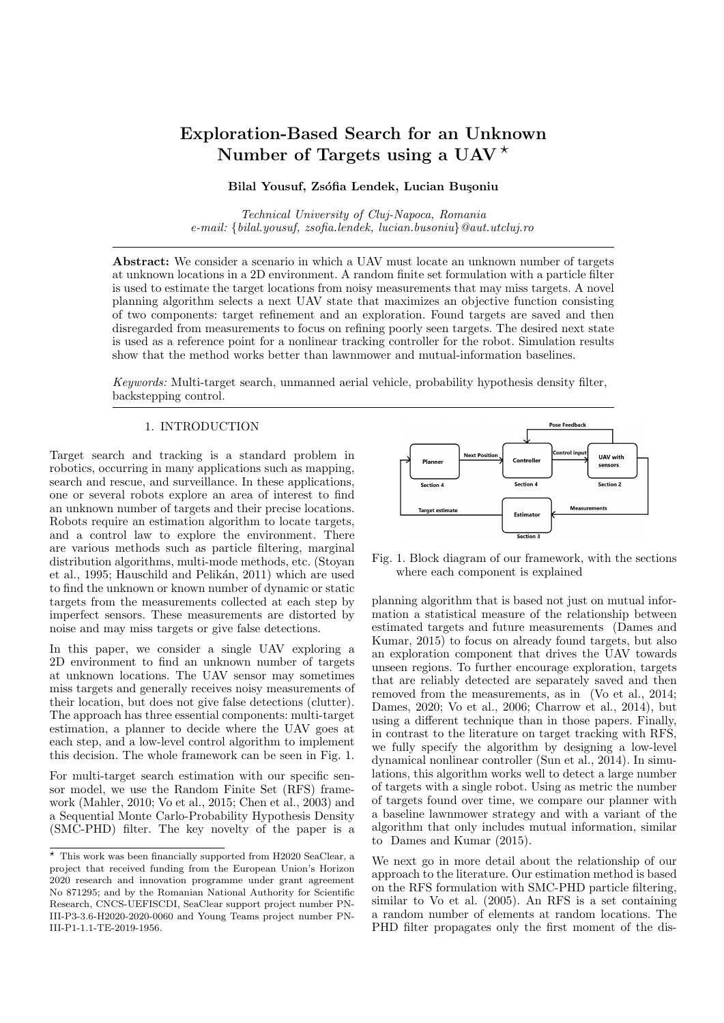function in Section 3.1, followed by the PHD prediction and update operations on RFS in Section 3.2. The Sequential Monte Carlo-based approximation is defined in Sections 3.3. Resizing and resampling the set of particles are discussed in Section 3.4.

#### 3.1 Intensity Function

The Probability Hypothesis Density (PHD) is a function defined over the target space with the property that its integral over any region S is the expected number of targets in that region. To define it formally, consider first a given set of targets X. A subset  $S \subseteq E^s$  contains a number of targets  $N_X(S) = \chi_{2X} 1_S(X) = |X \cap S|$ . The RFS  $\Xi$ , of which one realization is  $X$ , is similarly defined by the *random* counting measure  $N(S) = |\Xi \cap S|$ . The intensity measure  $V$  is defined as:

$$
V(S) \equiv E[N(S)]
$$

for each  $S \subseteq E^s$ . V thus gives the expected number of elements of  $\Xi$  in S. The intensity function  $D$  is defined as:

$$
D = \frac{dV}{d} \tag{4}
$$

where is the Lebesgue measure (Goodman et al., 1997). The intensity function is similar to a probability density function, with the key difference that its integral over the entire domain is not 1, but the number of targets. An example of the intensity measure is given in Fig. 3, where the sets S are the squares and the shades of gray are the values V for each S.

#### 3.2 PHD Filter

The overall PHD filter (Vo et al., 2005) is summarized as:

$$
D_{kjk - 1} = \Phi_{kjk - 1} D_{k - 1jk - 1}
$$
  

$$
D_{kjk} = \Psi_k D_{kjk - 1}
$$
 (5)

Here  $D_{kjk}$  1 is the prior and  $D_{kjk}$  denote the posterior. The PHD filter includes a prediction step  $\Phi_{k/k}$  1 that propagates the intensity function and an update step  $\Psi_k$ . Let  $D_{k-1/k-1}$  represent the intensity function corresponding to the multi-target prior at time step  $k - 1$ , for  $k \ge 1$ The PHD prior  $D_{k/k-1}$  is defined by:.

$$
D_{kjk-1} = \underbrace{\{ \Phi_{kjk-1} D_{k-1jk-1} \} (x_k)}_{E^s} =
$$
  
\n
$$
\Upsilon_k(x_k) + \underbrace{ \mathcal{O}_{kjk-1}(x_k; \cdot) D_{k-1jk-1} (\cdot) d}_{E^s}
$$
 (6)

where  $\mathcal{O}_{k/k-1}(x_k; \cdot)$  is the translation function, defining the new position of the target, and  $\Upsilon_k(x_k)$  denotes the intensity function of the spontaneous birth chosen here as a constant. In our specific problem, targets are stationary. The target translation function  $\mathcal{O}_{k/k-1}$  can then be written:

$$
\mathcal{O}_{kjk-1}(X_k; ) = p_s( )f_{kjk-1}(X_k | )
$$

where  $p_s($  ) is the probability that the target still exists at time step  $k$  given that it had previous location  $\,$  , and  $f_{k/k-1}(\cdot|\cdot)$  is the transition density of an individual target. The transition density of static targets is:

$$
f_{k/k-1}(x_k) = (x_k)
$$

with  $(x_k)$  the Dirac delta centered in  $x_k$ .



Fig. 3. Particle representation and illustration of the corresponding intensity measure. The red circles show the particles, and the shades of grid squares define the expected number of targets present in each square, equal to the sum of the weights of the particles in that square.

Now, to compute the posterior intensity function  $D_{k/k}$  at step k, we apply the PHD posterior operator  $\Psi_k(x)$  on the intensity function  $D_{k/k}$  1:

$$
D_{kjk} = (\Psi_k D_{kjk - 1})(X_k) =
$$
  
\n
$$
-\frac{X}{d_k(X_k)} + \frac{k_Z(X_k)}{k_Z Z_k} \cdot D_{kjk - 1}(X_k) \cdot D_{kjk - 1}(X_k)
$$
 (7)

where  $\tau_{d_k}(x_k)$  is the probability of non-detection, and  $\kappa$ <sub>kz</sub>(x) denotes the probability density function of detecting a target. We have:

$$
\begin{aligned}\n^-\frac{d_k(x_k)}{dz}(x_k) &= 1 - \frac{d(x_k; q_k)}{dz}(x_k) \\
&= \frac{d}{dz}(x_k; q_k)g(z_k|x_k) \\
kz \cdot D_{kjk} \quad 1 &= \frac{kz(x_k)D_{kjk} \quad 1(x_k)dx_k}{z_k}\n\end{aligned} \tag{8}
$$

The target measurement density  $g(z_k|x_k)$  is defined as:

$$
g(z_k|x_k) = \mathcal{N}(z_k; h(x_k); R)
$$

where  $g(z_k|x_k)$  is a Gaussian density function with covariance  $\overline{R}$  centered on  $h(x_k) = [d_{ik}, i_k]^T$  from (3).

# 3.3 SMC-PHD Filter

At time step  $k - 1$ , consider the intensity function  $D_{k-1/k-1}$ , represented in terms of particles  $\hat{D}_{k-1/k-1}(X_{k-1})$  $=$   $\begin{bmatrix} L_{k-1} & j(i) \\ j=1 \end{bmatrix}$  $\frac{k^{(1)}}{k-1}$   $\frac{k^{(i)}}{k-1}$  ( $X_{k-1}$ ). This representation reduces the computational complexity of the filter updates. Note that  $E \left| \Xi_k \cap S \right| Z_{1:k} \approx \left| \frac{L_k}{j=1} 1_S(X_k^{(i)}) \right|$  $\binom{k}{k}$  ) !  $\binom{k}{k}$  $\chi^{(1)}$ : the expected number of targets in a set S is equal to the sum of the weights of the particles in that set, see again Fig. 3. Substituting  $\hat{D}_{k-1/k-1}$  in equation (6), one gets

$$
(\Phi_{kjk-1}\hat{D}_{k-1jk-1})(x_k) =
$$
  
\n
$$
\stackrel{k_{k-1}}{\times} \frac{1}{k_{k-1}\mathcal{O}_{kjk-1}(x_k; x_{k-1}^{(i)}) + \Upsilon_k(x_k)
$$
 (9)

A particle approximation of  $\Phi_{k/k}$   $\hat{D}_{k-1/k}$  an be derived by applying importance sampling to each of its terms. Define the importance (or proposal) densities  $\tilde{p}_k(\cdot|Z_k)$ ; and  $\tilde{q}_k(\cdot|x_{k-1};Z_k)$ . In our specific framework for static target tracking and detection, we take the proposal density for target birth to be  $\tilde{p}_k(x_k|Z_k) \sim$  $\mathcal{N}(x_k; (Z_k); R(Z_k))$  which is a Gaussian defined by the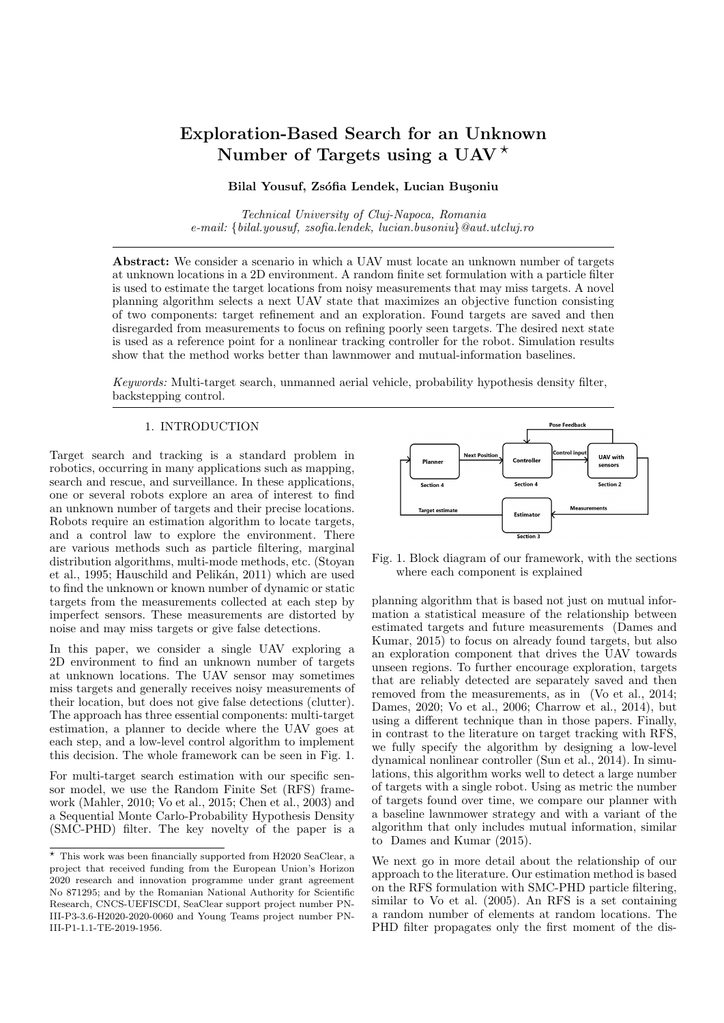empirical mean  $(Z_k)_{\text{p}} = \frac{1}{|Z_k|}$   $Z_2 Z_k h^{-1}(Z)$  and covariance  $R(Z_k) = \frac{1}{jZ_kj} \Big|_{z \geq Z_k} [h^{-1}(z) - (Z_k)][h^{-1}(z) (Z_k)$ <sup>></sup> of the set of observations  $Z_k$ . To calculate the empirical mean and covariance, as the targets are in Cartesian space, we convert the measurement set  $Z_k$  from polar to Cartesian coordinates by applying  $h^{-1}(Z_k)$ . The transition proposal density in the static target scenario can be written as:

$$
\tilde{q}_k(x_k|x_k^{(i)})^2 Z_k = x_{k-1}^{(i)}(x_k)
$$

Equation (9) is then reformulated as:

$$
(\Phi_{kjk-1}\hat{D}_{k-1jk-1})(x_k) = \sum_{i=1}^{k_{\mathcal{K}}-1} I_{k-1}^{(i)} \frac{\mathcal{O}_{kjk-1}(x_k; x_{k-1}^{(i)})}{\tilde{q}_k(x_k | x_{k-1}^{(i)}; Z_k)}.
$$

$$
\tilde{q}_k(x_k | x_{k-1}^{(i)}; Z_k) + \frac{\Upsilon_k(x_k)}{\tilde{p}_k(x_k | Z_k)} \tilde{p}_k(x_k | Z_k)
$$
(10)

Thus, the Monte-Carlo approximation is obtained as:

$$
(\hat{\Phi}_{kjk-1}\hat{D}_{k-1jk-1})(x_k) \equiv \sum_{i=1}^{L_k} \chi^{i+J_k} f_{kjk-1-x_k^{(i)}}(x_k) \quad (11)
$$

where  $L_{k-1}$  is the number of existing particles and  $J_k$  is the number of new particles arising from the birth process. We denote  $L_k \equiv L_{k-1} + J_k$ . The required particles are drawn according to (Vo et al., 2005):

$$
X_k^{(i)} \sim \begin{array}{c} \tilde{q}_k(\cdot | x_{k-1}^{(i)}, Z_k) & i = 1, \dots, L_{k-1} \\ \tilde{p}_k(\cdot | Z_k) & i = L_{k-1} + 1, \dots, L_k \end{array}
$$

The weights of the particles are computed as (Vo et al., 2005):  $\cap$ 

$$
I_{k/k-1}^{(i)} = \begin{cases} \sum_{k=1}^{\infty} \frac{\mathcal{O}_{k|k-1}(x_k^{(i)}, x_{k-1}^{(i)})\omega_{k-1}^{(i)}}{\tilde{q}_k(x_k^{(i)}|x_{k-1}^{(i)}, Z_k)} & i = 1, \dots, L_{k-1} \\ \sum_{k=1}^{\infty} \frac{\Upsilon_k(x_k^{(i)})}{\sqrt{k \cdot \tilde{p}_k(x_k^{(i)}|Z_k)}} & i = L_{k-1} + 1, \dots, L_k \end{cases}
$$

Next we discuss the update step. The prior step yielded a function  $D_{k/k}$  1 represented by  $(I_{k/k}^{(i)})$  $\frac{(i)}{k/k}$  1<sup>;</sup>  $X_k^{(i)}$ ) $\frac{L_k}{i=1}$ . The update operator  $\hat{\Psi}_k$  then maps this function into one with particle representation  $(w_k^{(i)})$  $\binom{i}{k}$ ;  $X_k^{(i)}$ ) $\frac{L_k}{i=1}$ :

$$
\hat{D}_{kjk}(x) = (\hat{\Psi}_k \hat{D}_{kjk-1})(x) = \sum_{i=1}^{k} I_k^{(i)}_{k} x_k^{(i)}(x)
$$

by modifying the weights of the particles as follows:

$$
I_{k}^{(i)} = -_{d_{k}}(x_{k}^{(i)}) + \sum_{z \ge Z_{k}} \frac{kz(x_{k}^{(i)})}{C_{k}(z)} I_{kjk-1}^{(i)}
$$
  

$$
C_{k}(z) = \sum_{j=1}^{\mathcal{K}_{k}} kz(x_{k}^{(j)}) I_{kjk-1}^{(j)}
$$
(12)

Equation (12) is a particle-based representation of (7).

# 3.4 Adapting Particle Numbers and Resampling Particles At any time step  $k \geq 1$  let  $\hat{D}_{kjk} = \left| \int_{k}^{(i)} \right|$  $k^{(i)}$ ;  $x_k^{(i)}$ denote a particle approximation of  $D_{kjk}$ , where  $L_k$  is the particle count at k. The algorithm is designed such that the concentration of particles in a given region of the target space, say S, represents the approximated number of targets in S. At times there may be too few or too

many particles for a set of targets, depending on the sensor measurements. It would be more efficient to adapt the allocation, say  $\ell$  particles per target at each time step  $k$ where *l* is a tunable parameter. Since the expected number of targets  $N_{k/k}$  is

$$
\hat{N}_{kjk} = \sum_{j=1}^{\mathcal{K}^k} I_k^{(j)} \tag{13}
$$

it is natural to have the new number of particles  $\boldsymbol{L}_k^+$  =  $l\hat{N}_{kjk}$ . Note that in this section, we use notations with superscript  $+$  for the particle count and weights after resampling; to keep notation manageable, in all other sections we simply use  $L_k$ ,  $l_k^{(i)}$  $\kappa$ <sup>(*i*</sup>, leaving resampling implicit.

In most scenarios, the variance of the weights increases with time. The basic solution of this problem is to resample the particles, eliminating particles having low weights and multiplying particles with high weights to focus attention on the important zones. This can be accomplished by importance resampling  $L_k^+$  particles from  $\left| \right|_k^{(i)}$  $k^{(i)}$ ;  $x_k^{(i)}$ <sup>OL<sub>k</sub></sup>  $i=1$ and redistributing the total mass  $\hat{N}_{k/k}$  among the  $L_k^+$ resampled particles. We resample the new particles by randomly drawing them from the old set of particles with probabilities  $a_i = \frac{P\left(\frac{i}{L_k}\right)}{\frac{L_k}{j-1} \cdot \frac{l}{k}}$ . Then, the new weights +

 $\frac{1}{k}$   $\frac{1}{k}$   $\frac{1}{k}$  $k^{(i)}$ <sup>UL<sup>+</sup><sub>k</sub></sup>  $i=1$  are not normalized to 1 (as in standard particle filtering) but must sum up to  $\hat{N}_{kjk} = \begin{bmatrix} L_k & i \\ j = 1 \end{bmatrix}$  $\kappa$ <sup>(*i*</sup>). Each new weight is thus  $I_k^{+(i)} = \frac{\hat{N}_{kjk}}{L_k^+}.$ 

The PHD filter will be used by the planner in the following section to estimate target locations from measurements.

# 4. PLANNER

We now propose the planner algorithm to explore the environment so as to find and refine target positions. The planner integrates the filtering component from above. It works by making a greedy decision for the next UAV state  $q_{k+1}$  with the following procedure:

$$
q_{k+1} = \operatorname{argmax}_{q_{k+1} \ge 0_k} \{ I[x_{k+1}; \Lambda] + \cdots \kappa(x_{k+1}) \} \quad (14)
$$

Note that  $x_{k+1}$  denotes the position component of the next state  $q_{k+1}$ . The set of candidate next states,  $\mathbb{Q}_k$ , should be reasonably small to limit computational complexity. In our case, the set has eight different position choices: right, left, top, bottom, forward, and the diagonals. In addition to the positions, we must define the desired angles, and those are always 0. The distance from the actual states  $k$ to the future states  $k + 1$  is set to 9 meters.

The objective function have two components: target refinement  $\mathcal{T}_{k}(q_{k+1})$  and exploration  $E(q_{k+1})$ , with a tunable parameter that controls the tradeoff between the two components. The first, refinement component aims to better find the locations of the targets, and consists of the mutual information  $I[X_{k+1}; \Lambda]$  between the next position and a binary measurement event (Dames and Kumar, 2015). This event describes whether an empty measurement set  $Z_k$  will be received, based on the probability of detection:  $\Lambda = 0$ is the event that the robot receives no measurements, and